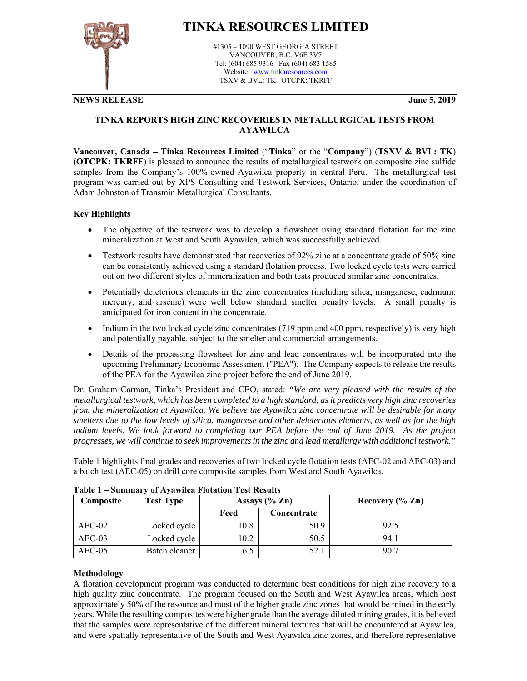

## **TINKA RESOURCES LIMITED**

#1305 – 1090 WEST GEORGIA STREET VANCOUVER, B.C. V6E 3V7 Tel: (604) 685 9316 Fax (604) 683 1585 Website: www.tinkaresources.com TSXV & BVL: TK OTCPK: TKRFF

**NEWS RELEASE June 5, 2019**

#### **TINKA REPORTS HIGH ZINC RECOVERIES IN METALLURGICAL TESTS FROM AYAWILCA**

**Vancouver, Canada – Tinka Resources Limited** ("**Tinka**" or the "**Company**") (**TSXV & BVL: TK**) (**OTCPK: TKRFF**) is pleased to announce the results of metallurgical testwork on composite zinc sulfide samples from the Company's 100%-owned Ayawilca property in central Peru. The metallurgical test program was carried out by XPS Consulting and Testwork Services, Ontario, under the coordination of Adam Johnston of Transmin Metallurgical Consultants.

### **Key Highlights**

- The objective of the testwork was to develop a flowsheet using standard flotation for the zinc mineralization at West and South Ayawilca, which was successfully achieved.
- Testwork results have demonstrated that recoveries of 92% zinc at a concentrate grade of 50% zinc can be consistently achieved using a standard flotation process. Two locked cycle tests were carried out on two different styles of mineralization and both tests produced similar zinc concentrates.
- Potentially deleterious elements in the zinc concentrates (including silica, manganese, cadmium, mercury, and arsenic) were well below standard smelter penalty levels. A small penalty is anticipated for iron content in the concentrate.
- Indium in the two locked cycle zinc concentrates (719 ppm and 400 ppm, respectively) is very high and potentially payable, subject to the smelter and commercial arrangements.
- Details of the processing flowsheet for zinc and lead concentrates will be incorporated into the upcoming Preliminary Economic Assessment ("PEA"). The Company expects to release the results of the PEA for the Ayawilca zinc project before the end of June 2019.

Dr. Graham Carman, Tinka's President and CEO, stated: *"We are very pleased with the results of the metallurgical testwork, which has been completed to a high standard, as it predicts very high zinc recoveries from the mineralization at Ayawilca. We believe the Ayawilca zinc concentrate will be desirable for many smelters due to the low levels of silica, manganese and other deleterious elements, as well as for the high*  indium levels. We look forward to completing our PEA before the end of June 2019. As the project *progresses, we will continue to seek improvements in the zinc and lead metallurgy with additional testwork."* 

Table 1 highlights final grades and recoveries of two locked cycle flotation tests (AEC-02 and AEC-03) and a batch test (AEC-05) on drill core composite samples from West and South Ayawilca.

| Composite | <b>Test Type</b> |      | Assays $(\%$ Zn) | Recovery $(\%$ Zn) |
|-----------|------------------|------|------------------|--------------------|
|           |                  | Feed | Concentrate      |                    |
| $AEC-02$  | Locked cycle     | 10.8 | 50.9             | 92.5               |
| $AEC-03$  | Locked cycle     | 10.2 | 50.5             | 94.1               |
| $AEC-05$  | Batch cleaner    | 6.5  | 52.1             | 90.7               |

**Table 1 – Summary of Ayawilca Flotation Test Results** 

#### **Methodology**

A flotation development program was conducted to determine best conditions for high zinc recovery to a high quality zinc concentrate. The program focused on the South and West Ayawilca areas, which host approximately 50% of the resource and most of the higher grade zinc zones that would be mined in the early years. While the resulting composites were higher grade than the average diluted mining grades, it is believed that the samples were representative of the different mineral textures that will be encountered at Ayawilca, and were spatially representative of the South and West Ayawilca zinc zones, and therefore representative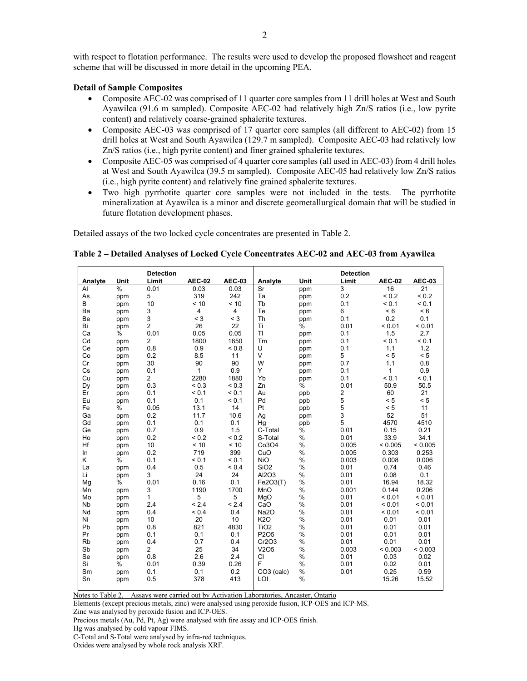with respect to flotation performance. The results were used to develop the proposed flowsheet and reagent scheme that will be discussed in more detail in the upcoming PEA.

#### **Detail of Sample Composites**

- Composite AEC-02 was comprised of 11 quarter core samples from 11 drill holes at West and South Ayawilca (91.6 m sampled). Composite AEC-02 had relatively high Zn/S ratios (i.e., low pyrite content) and relatively coarse-grained sphalerite textures.
- Composite AEC-03 was comprised of 17 quarter core samples (all different to AEC-02) from 15 drill holes at West and South Ayawilca (129.7 m sampled). Composite AEC-03 had relatively low Zn/S ratios (i.e., high pyrite content) and finer grained sphalerite textures.
- Composite AEC-05 was comprised of 4 quarter core samples (all used in AEC-03) from 4 drill holes at West and South Ayawilca (39.5 m sampled). Composite AEC-05 had relatively low Zn/S ratios (i.e., high pyrite content) and relatively fine grained sphalerite textures.
- Two high pyrrhotite quarter core samples were not included in the tests. The pyrrhotite mineralization at Ayawilca is a minor and discrete geometallurgical domain that will be studied in future flotation development phases.

Detailed assays of the two locked cycle concentrates are presented in Table 2.

|                      |               | <b>Detection</b> |               |               |                          |      | <b>Detection</b> |               |                 |
|----------------------|---------------|------------------|---------------|---------------|--------------------------|------|------------------|---------------|-----------------|
| Analyte              | Unit          | Limit            | <b>AEC-02</b> | <b>AEC-03</b> | Analyte                  | Unit | Limit            | <b>AEC-02</b> | <b>AEC-03</b>   |
| AI                   | $\frac{0}{0}$ | 0.01             | 0.03          | 0.03          | $\overline{\mathsf{Sr}}$ | ppm  | 3                | 16            | $\overline{21}$ |
| As                   | ppm           | 5                | 319           | 242           | Ta                       | ppm  | 0.2              | ${}_{0.2}$    | ${}_{0.2}$      |
| B                    | ppm           | 10               | < 10          | < 10          | Tb                       | ppm  | 0.1              | < 0.1         | < 0.1           |
| Ba                   | ppm           | 3                | 4             | 4             | Te                       | ppm  | 6                | < 6           | < 6             |
| Be                   | ppm           | 3                | $<$ 3         | $<$ 3         | Th                       | ppm  | 0.1              | 0.2           | 0.1             |
| Bi                   | ppm           | $\overline{2}$   | 26            | 22            | Ti                       | %    | 0.01             | < 0.01        | < 0.01          |
| Ca                   | $\%$          | 0.01             | 0.05          | 0.05          | <b>TI</b>                | ppm  | 0.1              | 1.5           | 2.7             |
| Cd                   | ppm           | $\overline{2}$   | 1800          | 1650          | Tm                       | ppm  | 0.1              | < 0.1         | < 0.1           |
| Ce                   | ppm           | 0.8              | 0.9           | ${}_{0.8}$    | U                        | ppm  | 0.1              | 1.1           | 1.2             |
| Co                   | ppm           | 0.2              | 8.5           | 11            | $\vee$                   | ppm  | 5                | < 5           | < 5             |
| Cr                   | ppm           | 30               | 90            | 90            | W                        | ppm  | 0.7              | 1.1           | 0.8             |
| Cs                   | ppm           | 0.1              | 1             | 0.9           | Y                        | ppm  | 0.1              | 1             | 0.9             |
| Cu                   | ppm           | $\overline{2}$   | 2280          | 1880          | Yb                       | ppm  | 0.1              | < 0.1         | < 0.1           |
| Dy                   | ppm           | 0.3              | ${}_{0.3}$    | ${}_{0.3}$    | Zn                       | ℅    | 0.01             | 50.9          | 50.5            |
| Er                   | ppm           | 0.1              | < 0.1         | < 0.1         | Au                       | ppb  | 2                | 60            | 21              |
| Eu                   | ppm           | 0.1              | 0.1           | < 0.1         | Pd                       | ppb  | 5                | < 5           | < 5             |
| Fe                   | %             | 0.05             | 13.1          | 14            | Pt                       | ppb  | 5                | < 5           | 11              |
| Ga                   | ppm           | 0.2              | 11.7          | 10.6          | Ag                       | ppm  | 3                | 52            | 51              |
| Gd                   | ppm           | 0.1              | 0.1           | 0.1           | Hq                       | ppb  | 5                | 4570          | 4510            |
| Ge                   | ppm           | 0.7              | 0.9           | 1.5           | C-Total                  | %    | 0.01             | 0.15          | 0.21            |
| Ho                   | ppm           | 0.2              | ${}_{0.2}$    | ${}_{0.2}$    | S-Total                  | $\%$ | 0.01             | 33.9          | 34.1            |
| Hf                   | ppm           | 10               | < 10          | < 10          | Co3O4                    | $\%$ | 0.005            | < 0.005       | < 0.005         |
| In                   | ppm           | 0.2              | 719           | 399           | CuO                      | %    | 0.005            | 0.303         | 0.253           |
| K                    | %             | 0.1              | < 0.1         | < 0.1         | <b>NiO</b>               | $\%$ | 0.003            | 0.008         | 0.006           |
| La                   | ppm           | 0.4              | 0.5           | ${}_{0.4}$    | SiO <sub>2</sub>         | $\%$ | 0.01             | 0.74          | 0.46            |
| Li                   | ppm           | 3                | 24            | 24            | Al2O3                    | $\%$ | 0.01             | 0.08          | 0.1             |
| Mg                   | %             | 0.01             | 0.16          | 0.1           | Fe2O3(T)                 | $\%$ | 0.01             | 16.94         | 18.32           |
| Mn                   | ppm           | 3                | 1190          | 1700          | MnO                      | %    | 0.001            | 0.144         | 0.206           |
| Mo                   | ppm           | 1                | 5             | 5             | MgO                      | $\%$ | 0.01             | < 0.01        | < 0.01          |
| <b>N<sub>b</sub></b> | ppm           | 2.4              | < 2.4         | < 2.4         | CaO                      | %    | 0.01             | < 0.01        | < 0.01          |
| Nd                   | ppm           | 0.4              | ${}_{0.4}$    | 0.4           | Na2O                     | %    | 0.01             | < 0.01        | < 0.01          |
| Ni                   | ppm           | 10               | 20            | 10            | <b>K2O</b>               | $\%$ | 0.01             | 0.01          | 0.01            |
| Pb                   | ppm           | 0.8              | 821           | 4830          | TiO <sub>2</sub>         | %    | 0.01             | 0.01          | 0.01            |
| Pr                   | ppm           | 0.1              | 0.1           | 0.1           | P2O5                     | $\%$ | 0.01             | 0.01          | 0.01            |
| <b>Rb</b>            | ppm           | 0.4              | 0.7           | 0.4           | Cr2O3                    | $\%$ | 0.01             | 0.01          | 0.01            |
| Sb                   | ppm           | $\overline{2}$   | 25            | 34            | V2O5                     | %    | 0.003            | < 0.003       | < 0.003         |
| Se                   | ppm           | 0.8              | 2.6           | 2.4           | CI                       | %    | 0.01             | 0.03          | 0.02            |
| Si                   | %             | 0.01             | 0.39          | 0.26          | F                        | %    | 0.01             | 0.02          | 0.01            |
| Sm                   | ppm           | 0.1              | 0.1           | 0.2           | CO3 (calc)               | %    | 0.01             | 0.25          | 0.59            |
| Sn                   | ppm           | 0.5              | 378           | 413           | LOI                      | %    |                  | 15.26         | 15.52           |

**Table 2 – Detailed Analyses of Locked Cycle Concentrates AEC-02 and AEC-03 from Ayawilca** 

Notes to Table 2. Assays were carried out by Activation Laboratories, Ancaster, Ontario

Elements (except precious metals, zinc) were analysed using peroxide fusion, ICP-OES and ICP-MS.

Zinc was analysed by peroxide fusion and ICP-OES.

Precious metals (Au, Pd, Pt, Ag) were analysed with fire assay and ICP-OES finish.

Hg was analysed by cold vapour FIMS.

C-Total and S-Total were analysed by infra-red techniques.

Oxides were analysed by whole rock analysis XRF.